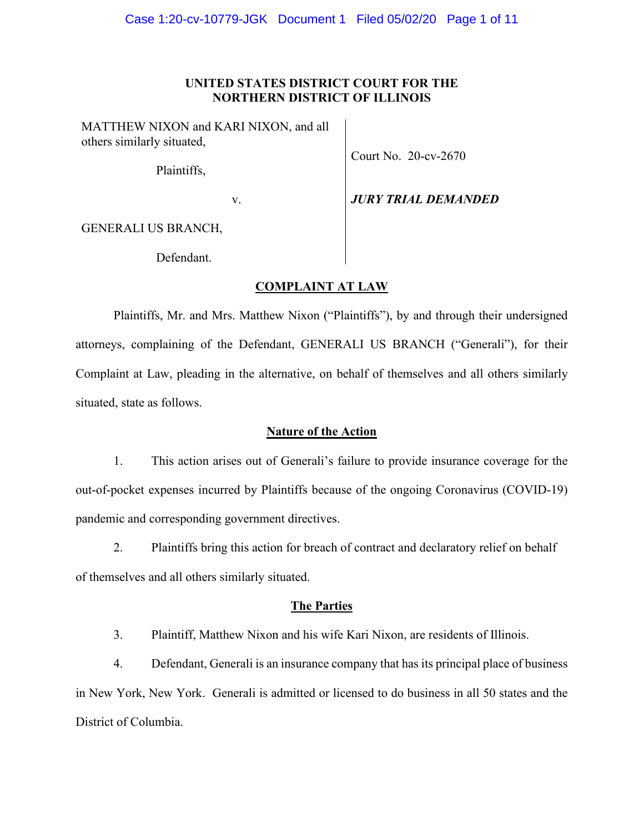# **UNITED STATES DISTRICT COURT FOR THE NORTHERN DISTRICT OF ILLINOIS**

MATTHEW NIXON and KARI NIXON, and all others similarly situated,

Plaintiffs,

Court No. 20-cv-2670

v. *JURY TRIAL DEMANDED*

GENERALI US BRANCH,

Defendant.

# **COMPLAINT AT LAW**

Plaintiffs, Mr. and Mrs. Matthew Nixon ("Plaintiffs"), by and through their undersigned attorneys, complaining of the Defendant, GENERALI US BRANCH ("Generali"), for their Complaint at Law, pleading in the alternative, on behalf of themselves and all others similarly situated, state as follows.

# **Nature of the Action**

1. This action arises out of Generali's failure to provide insurance coverage for the out-of-pocket expenses incurred by Plaintiffs because of the ongoing Coronavirus (COVID-19) pandemic and corresponding government directives.

2. Plaintiffs bring this action for breach of contract and declaratory relief on behalf of themselves and all others similarly situated.

# **The Parties**

3. Plaintiff, Matthew Nixon and his wife Kari Nixon, are residents of Illinois.

4. Defendant, Generali is an insurance company that has its principal place of business in New York, New York. Generali is admitted or licensed to do business in all 50 states and the District of Columbia.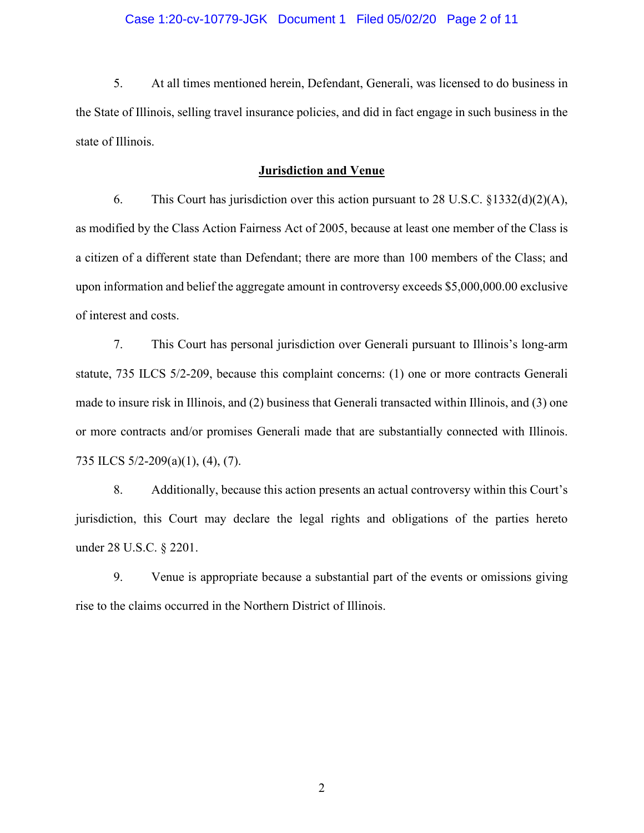## Case 1:20-cv-10779-JGK Document 1 Filed 05/02/20 Page 2 of 11

5. At all times mentioned herein, Defendant, Generali, was licensed to do business in the State of Illinois, selling travel insurance policies, and did in fact engage in such business in the state of Illinois.

## **Jurisdiction and Venue**

6. This Court has jurisdiction over this action pursuant to 28 U.S.C. §1332(d)(2)(A), as modified by the Class Action Fairness Act of 2005, because at least one member of the Class is a citizen of a different state than Defendant; there are more than 100 members of the Class; and upon information and belief the aggregate amount in controversy exceeds \$5,000,000.00 exclusive of interest and costs.

7. This Court has personal jurisdiction over Generali pursuant to Illinois's long-arm statute, 735 ILCS 5/2-209, because this complaint concerns: (1) one or more contracts Generali made to insure risk in Illinois, and (2) business that Generali transacted within Illinois, and (3) one or more contracts and/or promises Generali made that are substantially connected with Illinois. 735 ILCS 5/2-209(a)(1), (4), (7).

8. Additionally, because this action presents an actual controversy within this Court's jurisdiction, this Court may declare the legal rights and obligations of the parties hereto under 28 U.S.C. § 2201.

9. Venue is appropriate because a substantial part of the events or omissions giving rise to the claims occurred in the Northern District of Illinois.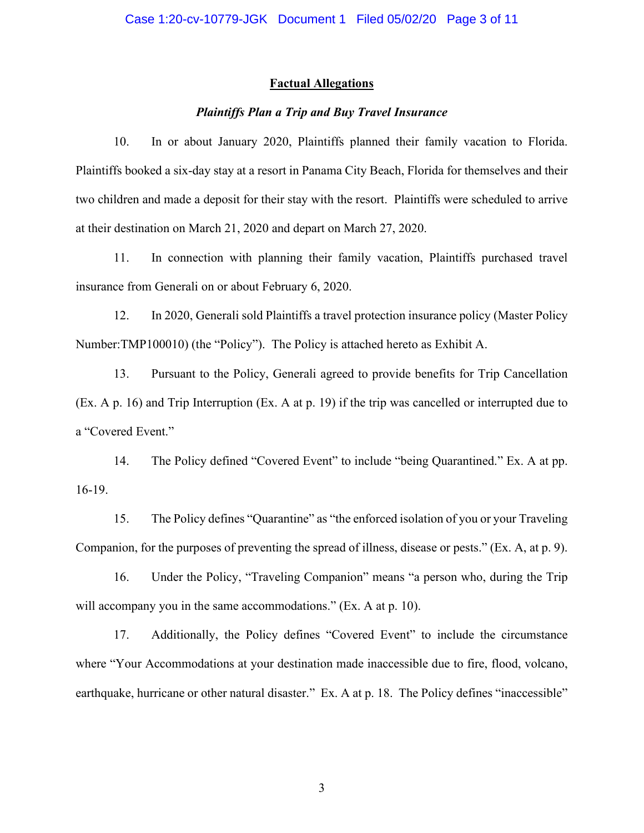### **Factual Allegations**

# *Plaintiffs Plan a Trip and Buy Travel Insurance*

10. In or about January 2020, Plaintiffs planned their family vacation to Florida. Plaintiffs booked a six-day stay at a resort in Panama City Beach, Florida for themselves and their two children and made a deposit for their stay with the resort. Plaintiffs were scheduled to arrive at their destination on March 21, 2020 and depart on March 27, 2020.

11. In connection with planning their family vacation, Plaintiffs purchased travel insurance from Generali on or about February 6, 2020.

12. In 2020, Generali sold Plaintiffs a travel protection insurance policy (Master Policy Number:TMP100010) (the "Policy"). The Policy is attached hereto as Exhibit A.

13. Pursuant to the Policy, Generali agreed to provide benefits for Trip Cancellation (Ex. A p. 16) and Trip Interruption (Ex. A at p. 19) if the trip was cancelled or interrupted due to a "Covered Event."

14. The Policy defined "Covered Event" to include "being Quarantined." Ex. A at pp. 16-19.

15. The Policy defines "Quarantine" as "the enforced isolation of you or your Traveling Companion, for the purposes of preventing the spread of illness, disease or pests." (Ex. A, at p. 9).

16. Under the Policy, "Traveling Companion" means "a person who, during the Trip will accompany you in the same accommodations." (Ex. A at p. 10).

17. Additionally, the Policy defines "Covered Event" to include the circumstance where "Your Accommodations at your destination made inaccessible due to fire, flood, volcano, earthquake, hurricane or other natural disaster." Ex. A at p. 18. The Policy defines "inaccessible"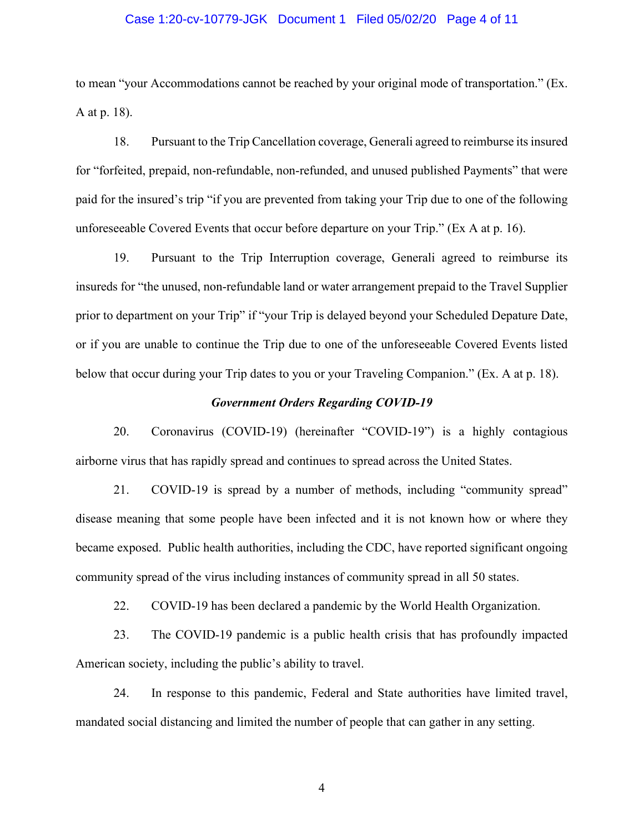### Case 1:20-cv-10779-JGK Document 1 Filed 05/02/20 Page 4 of 11

to mean "your Accommodations cannot be reached by your original mode of transportation." (Ex. A at p. 18).

18. Pursuant to the Trip Cancellation coverage, Generali agreed to reimburse its insured for "forfeited, prepaid, non-refundable, non-refunded, and unused published Payments" that were paid for the insured's trip "if you are prevented from taking your Trip due to one of the following unforeseeable Covered Events that occur before departure on your Trip." (Ex A at p. 16).

19. Pursuant to the Trip Interruption coverage, Generali agreed to reimburse its insureds for "the unused, non-refundable land or water arrangement prepaid to the Travel Supplier prior to department on your Trip" if "your Trip is delayed beyond your Scheduled Depature Date, or if you are unable to continue the Trip due to one of the unforeseeable Covered Events listed below that occur during your Trip dates to you or your Traveling Companion." (Ex. A at p. 18).

## *Government Orders Regarding COVID-19*

20. Coronavirus (COVID-19) (hereinafter "COVID-19") is a highly contagious airborne virus that has rapidly spread and continues to spread across the United States.

21. COVID-19 is spread by a number of methods, including "community spread" disease meaning that some people have been infected and it is not known how or where they became exposed. Public health authorities, including the CDC, have reported significant ongoing community spread of the virus including instances of community spread in all 50 states.

22. COVID-19 has been declared a pandemic by the World Health Organization.

23. The COVID-19 pandemic is a public health crisis that has profoundly impacted American society, including the public's ability to travel.

24. In response to this pandemic, Federal and State authorities have limited travel, mandated social distancing and limited the number of people that can gather in any setting.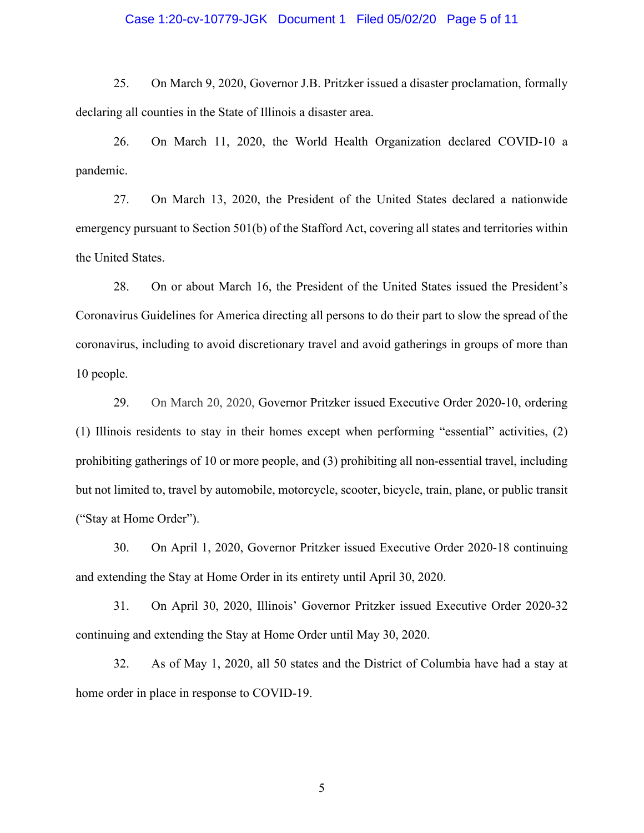## Case 1:20-cv-10779-JGK Document 1 Filed 05/02/20 Page 5 of 11

25. On March 9, 2020, Governor J.B. Pritzker issued a disaster proclamation, formally declaring all counties in the State of Illinois a disaster area.

26. On March 11, 2020, the World Health Organization declared COVID-10 a pandemic.

27. On March 13, 2020, the President of the United States declared a nationwide emergency pursuant to Section 501(b) of the Stafford Act, covering all states and territories within the United States.

28. On or about March 16, the President of the United States issued the President's Coronavirus Guidelines for America directing all persons to do their part to slow the spread of the coronavirus, including to avoid discretionary travel and avoid gatherings in groups of more than 10 people.

29. On March 20, 2020, Governor Pritzker issued Executive Order 2020-10, ordering (1) Illinois residents to stay in their homes except when performing "essential" activities, (2) prohibiting gatherings of 10 or more people, and (3) prohibiting all non-essential travel, including but not limited to, travel by automobile, motorcycle, scooter, bicycle, train, plane, or public transit ("Stay at Home Order").

30. On April 1, 2020, Governor Pritzker issued Executive Order 2020-18 continuing and extending the Stay at Home Order in its entirety until April 30, 2020.

31. On April 30, 2020, Illinois' Governor Pritzker issued Executive Order 2020-32 continuing and extending the Stay at Home Order until May 30, 2020.

32. As of May 1, 2020, all 50 states and the District of Columbia have had a stay at home order in place in response to COVID-19.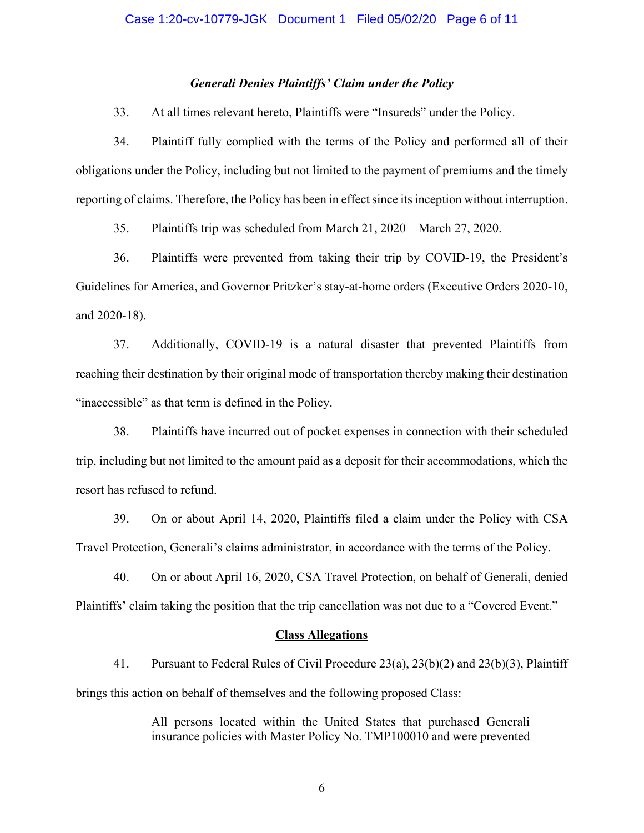## *Generali Denies Plaintiffs' Claim under the Policy*

33. At all times relevant hereto, Plaintiffs were "Insureds" under the Policy.

34. Plaintiff fully complied with the terms of the Policy and performed all of their obligations under the Policy, including but not limited to the payment of premiums and the timely reporting of claims. Therefore, the Policy has been in effect since its inception without interruption.

35. Plaintiffs trip was scheduled from March 21, 2020 – March 27, 2020.

36. Plaintiffs were prevented from taking their trip by COVID-19, the President's Guidelines for America, and Governor Pritzker's stay-at-home orders (Executive Orders 2020-10, and 2020-18).

37. Additionally, COVID-19 is a natural disaster that prevented Plaintiffs from reaching their destination by their original mode of transportation thereby making their destination "inaccessible" as that term is defined in the Policy.

38. Plaintiffs have incurred out of pocket expenses in connection with their scheduled trip, including but not limited to the amount paid as a deposit for their accommodations, which the resort has refused to refund.

39. On or about April 14, 2020, Plaintiffs filed a claim under the Policy with CSA Travel Protection, Generali's claims administrator, in accordance with the terms of the Policy.

40. On or about April 16, 2020, CSA Travel Protection, on behalf of Generali, denied Plaintiffs' claim taking the position that the trip cancellation was not due to a "Covered Event."

#### **Class Allegations**

41. Pursuant to Federal Rules of Civil Procedure 23(a), 23(b)(2) and 23(b)(3), Plaintiff brings this action on behalf of themselves and the following proposed Class:

> All persons located within the United States that purchased Generali insurance policies with Master Policy No. TMP100010 and were prevented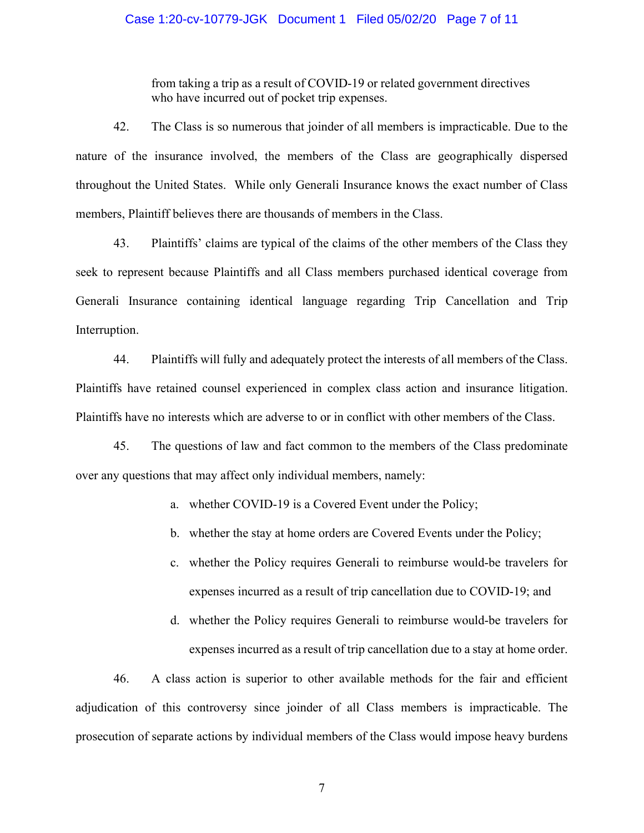## Case 1:20-cv-10779-JGK Document 1 Filed 05/02/20 Page 7 of 11

from taking a trip as a result of COVID-19 or related government directives who have incurred out of pocket trip expenses.

42. The Class is so numerous that joinder of all members is impracticable. Due to the nature of the insurance involved, the members of the Class are geographically dispersed throughout the United States. While only Generali Insurance knows the exact number of Class members, Plaintiff believes there are thousands of members in the Class.

43. Plaintiffs' claims are typical of the claims of the other members of the Class they seek to represent because Plaintiffs and all Class members purchased identical coverage from Generali Insurance containing identical language regarding Trip Cancellation and Trip Interruption.

44. Plaintiffs will fully and adequately protect the interests of all members of the Class. Plaintiffs have retained counsel experienced in complex class action and insurance litigation. Plaintiffs have no interests which are adverse to or in conflict with other members of the Class.

45. The questions of law and fact common to the members of the Class predominate over any questions that may affect only individual members, namely:

a. whether COVID-19 is a Covered Event under the Policy;

b. whether the stay at home orders are Covered Events under the Policy;

- c. whether the Policy requires Generali to reimburse would-be travelers for expenses incurred as a result of trip cancellation due to COVID-19; and
- d. whether the Policy requires Generali to reimburse would-be travelers for expenses incurred as a result of trip cancellation due to a stay at home order.

46. A class action is superior to other available methods for the fair and efficient adjudication of this controversy since joinder of all Class members is impracticable. The prosecution of separate actions by individual members of the Class would impose heavy burdens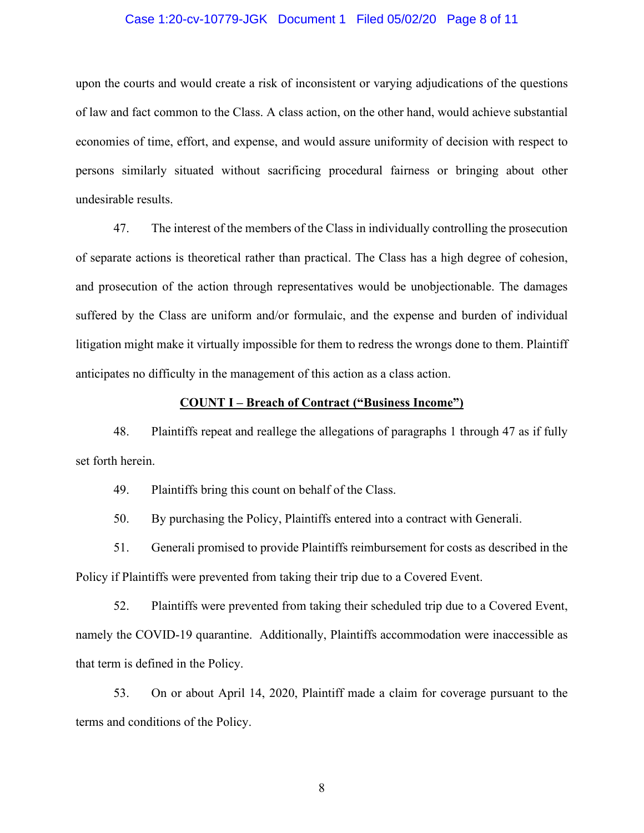## Case 1:20-cv-10779-JGK Document 1 Filed 05/02/20 Page 8 of 11

upon the courts and would create a risk of inconsistent or varying adjudications of the questions of law and fact common to the Class. A class action, on the other hand, would achieve substantial economies of time, effort, and expense, and would assure uniformity of decision with respect to persons similarly situated without sacrificing procedural fairness or bringing about other undesirable results.

47. The interest of the members of the Class in individually controlling the prosecution of separate actions is theoretical rather than practical. The Class has a high degree of cohesion, and prosecution of the action through representatives would be unobjectionable. The damages suffered by the Class are uniform and/or formulaic, and the expense and burden of individual litigation might make it virtually impossible for them to redress the wrongs done to them. Plaintiff anticipates no difficulty in the management of this action as a class action.

## **COUNT I – Breach of Contract ("Business Income")**

48. Plaintiffs repeat and reallege the allegations of paragraphs 1 through 47 as if fully set forth herein.

49. Plaintiffs bring this count on behalf of the Class.

50. By purchasing the Policy, Plaintiffs entered into a contract with Generali.

51. Generali promised to provide Plaintiffs reimbursement for costs as described in the Policy if Plaintiffs were prevented from taking their trip due to a Covered Event.

52. Plaintiffs were prevented from taking their scheduled trip due to a Covered Event, namely the COVID-19 quarantine. Additionally, Plaintiffs accommodation were inaccessible as that term is defined in the Policy.

53. On or about April 14, 2020, Plaintiff made a claim for coverage pursuant to the terms and conditions of the Policy.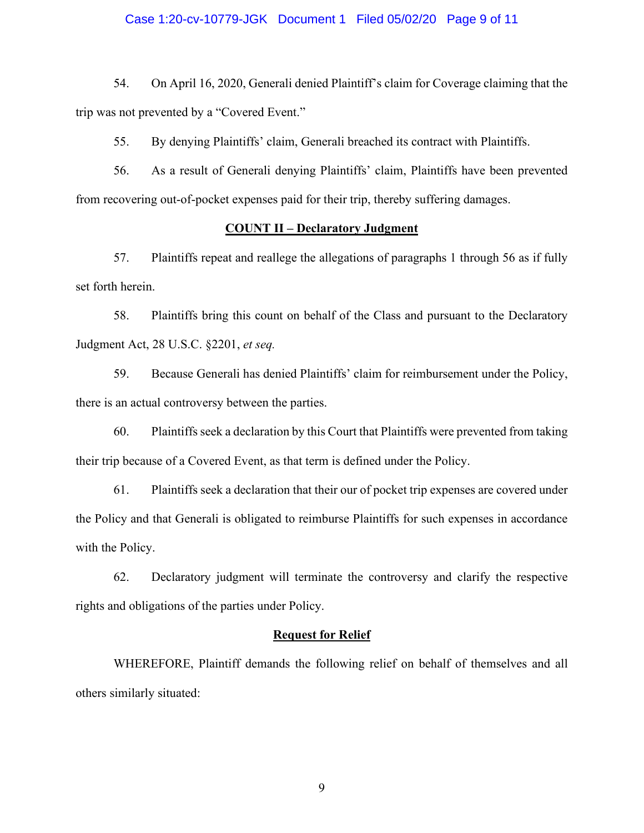### Case 1:20-cv-10779-JGK Document 1 Filed 05/02/20 Page 9 of 11

54. On April 16, 2020, Generali denied Plaintiff's claim for Coverage claiming that the trip was not prevented by a "Covered Event."

55. By denying Plaintiffs' claim, Generali breached its contract with Plaintiffs.

56. As a result of Generali denying Plaintiffs' claim, Plaintiffs have been prevented from recovering out-of-pocket expenses paid for their trip, thereby suffering damages.

# **COUNT II – Declaratory Judgment**

57. Plaintiffs repeat and reallege the allegations of paragraphs 1 through 56 as if fully set forth herein.

58. Plaintiffs bring this count on behalf of the Class and pursuant to the Declaratory Judgment Act, 28 U.S.C. §2201, *et seq.*

59. Because Generali has denied Plaintiffs' claim for reimbursement under the Policy, there is an actual controversy between the parties.

60. Plaintiffs seek a declaration by this Court that Plaintiffs were prevented from taking their trip because of a Covered Event, as that term is defined under the Policy.

61. Plaintiffs seek a declaration that their our of pocket trip expenses are covered under the Policy and that Generali is obligated to reimburse Plaintiffs for such expenses in accordance with the Policy.

62. Declaratory judgment will terminate the controversy and clarify the respective rights and obligations of the parties under Policy.

#### **Request for Relief**

WHEREFORE, Plaintiff demands the following relief on behalf of themselves and all others similarly situated: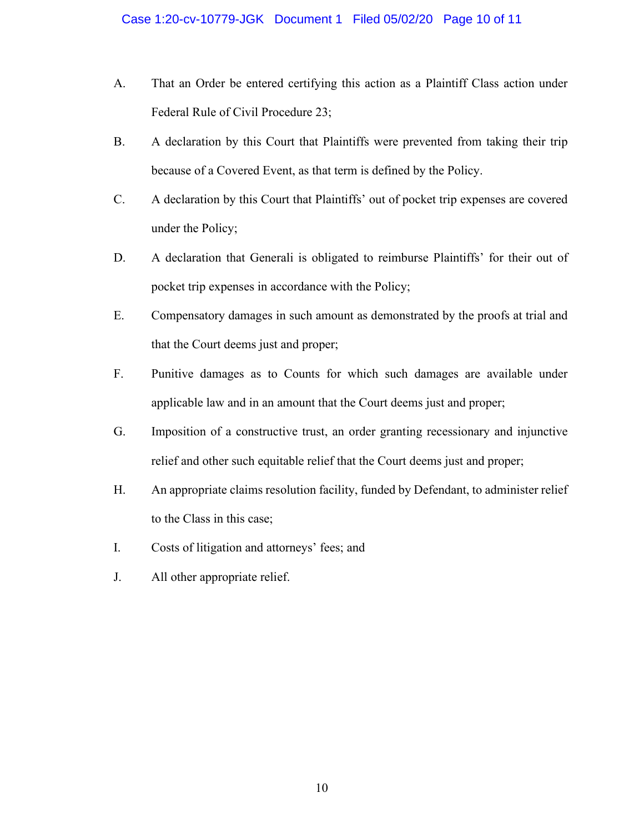- A. That an Order be entered certifying this action as a Plaintiff Class action under Federal Rule of Civil Procedure 23;
- B. A declaration by this Court that Plaintiffs were prevented from taking their trip because of a Covered Event, as that term is defined by the Policy.
- C. A declaration by this Court that Plaintiffs' out of pocket trip expenses are covered under the Policy;
- D. A declaration that Generali is obligated to reimburse Plaintiffs' for their out of pocket trip expenses in accordance with the Policy;
- E. Compensatory damages in such amount as demonstrated by the proofs at trial and that the Court deems just and proper;
- F. Punitive damages as to Counts for which such damages are available under applicable law and in an amount that the Court deems just and proper;
- G. Imposition of a constructive trust, an order granting recessionary and injunctive relief and other such equitable relief that the Court deems just and proper;
- H. An appropriate claims resolution facility, funded by Defendant, to administer relief to the Class in this case;
- I. Costs of litigation and attorneys' fees; and
- J. All other appropriate relief.